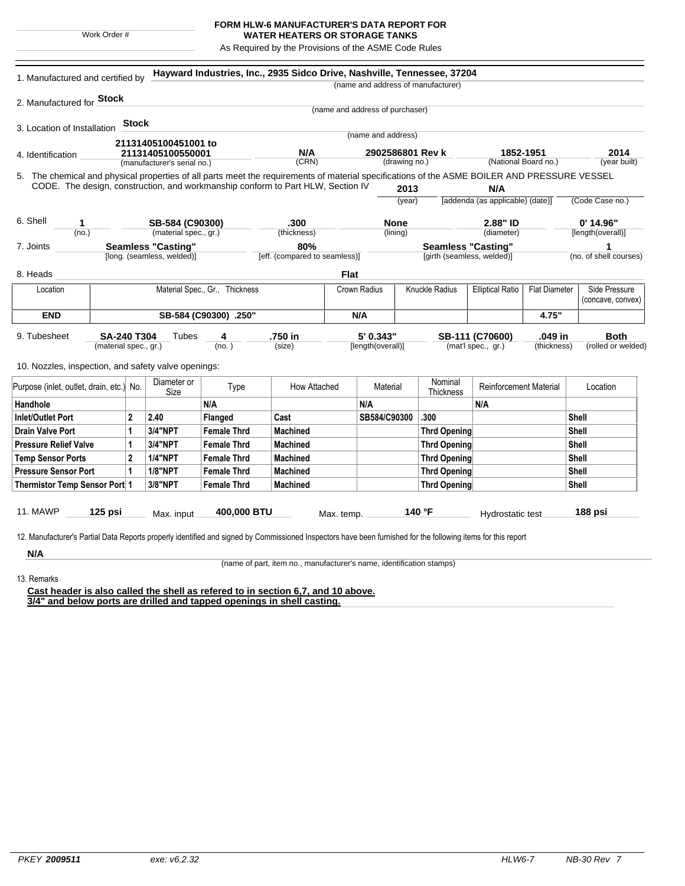|  | Work Order # |  |
|--|--------------|--|

## **FORM HLW-6 MANUFACTURER'S DATA REPORT FOR**

**WATER HEATERS OR STORAGE TANKS** As Required by the Provisions of the ASME Code Rules

|                                                                                                                                              |                                | 1. Manufactured and certified by |                             |                         |                                                                                 |                                       |                                |                         | (name and address of manufacturer)                   |                                  |                    |                        |
|----------------------------------------------------------------------------------------------------------------------------------------------|--------------------------------|----------------------------------|-----------------------------|-------------------------|---------------------------------------------------------------------------------|---------------------------------------|--------------------------------|-------------------------|------------------------------------------------------|----------------------------------|--------------------|------------------------|
| 2. Manufactured for <b>Stock</b>                                                                                                             |                                |                                  |                             |                         |                                                                                 |                                       |                                |                         |                                                      |                                  |                    |                        |
|                                                                                                                                              |                                |                                  |                             |                         |                                                                                 | (name and address of purchaser)       |                                |                         |                                                      |                                  |                    |                        |
| 3. Location of Installation                                                                                                                  |                                | <b>Stock</b>                     |                             |                         |                                                                                 |                                       |                                |                         |                                                      |                                  |                    |                        |
|                                                                                                                                              |                                |                                  | 21131405100451001 to        |                         |                                                                                 |                                       | (name and address)             |                         |                                                      |                                  |                    |                        |
| 4. Identification                                                                                                                            | 21131405100550001              |                                  |                             | N/A<br>2902586801 Rev k |                                                                                 |                                       |                                |                         | 1852-1951                                            | 2014                             |                    |                        |
|                                                                                                                                              |                                |                                  | (manufacturer's serial no.) |                         | (CRN)                                                                           | (drawing no.)                         |                                |                         | (National Board no.)                                 |                                  | (year built)       |                        |
| 5. The chemical and physical properties of all parts meet the requirements of material specifications of the ASME BOILER AND PRESSURE VESSEL |                                |                                  |                             |                         |                                                                                 |                                       |                                |                         |                                                      |                                  |                    |                        |
|                                                                                                                                              |                                |                                  |                             |                         | CODE. The design, construction, and workmanship conform to Part HLW, Section IV |                                       |                                | 2013                    |                                                      | N/A                              |                    |                        |
|                                                                                                                                              |                                |                                  |                             |                         |                                                                                 |                                       |                                | (year)                  |                                                      | [addenda (as applicable) (date)] |                    | (Code Case no.)        |
| 6. Shell<br>1                                                                                                                                |                                |                                  | SB-584 (C90300)             |                         | .300                                                                            |                                       | <b>None</b>                    |                         |                                                      | 2.88" ID                         |                    | $0'$ 14.96"            |
| (no.)                                                                                                                                        |                                |                                  | (material spec., gr.)       |                         | (thickness)                                                                     |                                       | (lining)                       |                         |                                                      | (diameter)                       |                    | [length(overall)]      |
| 7. Joints                                                                                                                                    |                                |                                  | <b>Seamless "Casting"</b>   |                         | 80%                                                                             |                                       |                                |                         |                                                      | <b>Seamless "Casting"</b>        |                    | 1                      |
|                                                                                                                                              | [long. (seamless, welded)]     |                                  |                             |                         | [eff. (compared to seamless)]                                                   |                                       | [girth (seamless, welded)]     |                         |                                                      |                                  |                    | (no. of shell courses) |
| 8. Heads                                                                                                                                     |                                |                                  |                             |                         |                                                                                 | <b>Flat</b>                           |                                |                         |                                                      |                                  |                    |                        |
| Location                                                                                                                                     | Material Spec., Gr., Thickness |                                  |                             |                         |                                                                                 | <b>Crown Radius</b><br>Knuckle Radius |                                | <b>Elliptical Ratio</b> | <b>Flat Diameter</b><br>Side Pressure                |                                  |                    |                        |
|                                                                                                                                              |                                |                                  |                             |                         |                                                                                 |                                       |                                |                         |                                                      |                                  | (concave, convex)  |                        |
| <b>END</b><br>SB-584 (C90300) .250"                                                                                                          |                                |                                  |                             |                         | N/A                                                                             |                                       |                                |                         |                                                      | 4.75"                            |                    |                        |
|                                                                                                                                              |                                |                                  | Tubes                       | 4                       |                                                                                 |                                       |                                |                         |                                                      |                                  | .049 in            | <b>Both</b>            |
| 9. Tubesheet<br>SA-240 T304<br>(material spec., gr.)                                                                                         |                                |                                  |                             | (no.)                   | .750 in<br>(size)                                                               |                                       | 5' 0.343"<br>[length(overall)] |                         | SB-111 (C70600)<br>(mat'l spec., gr.)<br>(thickness) |                                  | (rolled or welded) |                        |
|                                                                                                                                              |                                |                                  |                             |                         |                                                                                 |                                       |                                |                         |                                                      |                                  |                    |                        |
| 10. Nozzles, inspection, and safety valve openings:                                                                                          |                                |                                  |                             |                         |                                                                                 |                                       |                                |                         |                                                      |                                  |                    |                        |
| Purpose (inlet, outlet, drain, etc.) No.                                                                                                     |                                |                                  | Diameter or                 | Type                    | How Attached                                                                    |                                       | Material                       |                         | Nominal                                              | Reinforcement Material           |                    | Location               |
|                                                                                                                                              |                                |                                  | Size                        | N/A                     |                                                                                 |                                       | N/A                            |                         | <b>Thickness</b>                                     | N/A                              |                    |                        |
| Handhole<br><b>Inlet/Outlet Port</b>                                                                                                         |                                | $\mathbf{2}$                     | 2.40                        | Flanged                 | Cast                                                                            |                                       | SB584/C90300                   |                         | .300                                                 |                                  |                    | Shell                  |
| <b>Drain Valve Port</b>                                                                                                                      |                                | 1                                | 3/4"NPT                     | <b>Female Thrd</b>      | Machined                                                                        |                                       |                                |                         | <b>Thrd Opening</b>                                  |                                  |                    | Shell                  |
| <b>Pressure Relief Valve</b>                                                                                                                 |                                | 1                                | 3/4"NPT                     | <b>Female Thrd</b>      | <b>Machined</b>                                                                 |                                       |                                |                         | <b>Thrd Opening</b>                                  |                                  |                    | Shell                  |
| <b>Temp Sensor Ports</b>                                                                                                                     |                                | $\mathbf 2$                      | <b>1/4"NPT</b>              | <b>Female Thrd</b>      | <b>Machined</b>                                                                 |                                       |                                |                         | <b>Thrd Opening</b>                                  |                                  |                    | Shell                  |
| $\mathbf{1}$<br><b>Pressure Sensor Port</b>                                                                                                  |                                |                                  | <b>1/8"NPT</b>              | <b>Female Thrd</b>      | <b>Machined</b>                                                                 |                                       |                                |                         | <b>Thrd Opening</b>                                  |                                  |                    | Shell                  |
| Thermistor Temp Sensor Port 1                                                                                                                |                                |                                  | 3/8"NPT                     | <b>Female Thrd</b>      | <b>Machined</b>                                                                 |                                       |                                |                         | <b>Thrd Opening</b>                                  |                                  |                    | Shell                  |
|                                                                                                                                              |                                |                                  |                             |                         |                                                                                 |                                       |                                |                         |                                                      |                                  |                    |                        |
|                                                                                                                                              |                                |                                  |                             | 400,000 BTU             |                                                                                 | Max. temp.                            |                                |                         | 140 °F                                               | Hydrostatic test                 |                    | 188 psi                |
| <b>11. MAWP</b>                                                                                                                              | $125$ psi                      |                                  | Max. input                  |                         |                                                                                 |                                       |                                |                         |                                                      |                                  |                    |                        |

13. Remarks

(name of part, item no., manufacturer's name, identification stamps)

**Cast header is also called the shell as refered to in section 6,7, and 10 above. 3/4" and below ports are drilled and tapped openings in shell casting.**